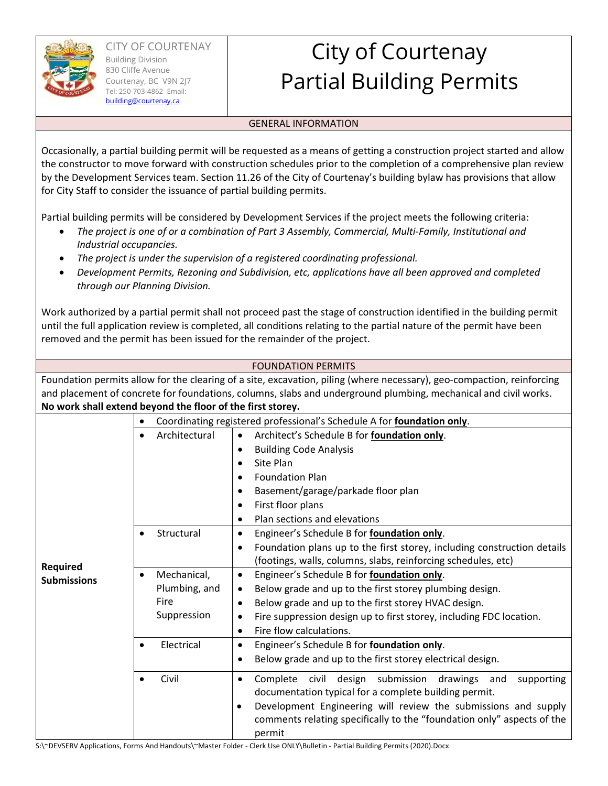

**Required Submissions** 

## City of Courtenay Partial Building Permits

## GENERAL INFORMATION

Occasionally, a partial building permit will be requested as a means of getting a construction project started and allow the constructor to move forward with construction schedules prior to the completion of a comprehensive plan review by the Development Services team. Section 11.26 of the City of Courtenay's building bylaw has provisions that allow for City Staff to consider the issuance of partial building permits.

Partial building permits will be considered by Development Services if the project meets the following criteria:

- *The project is one of or a combination of Part 3 Assembly, Commercial, Multi‐Family, Institutional and Industrial occupancies.*
- *The project is under the supervision of a registered coordinating professional.*
- *Development Permits, Rezoning and Subdivision, etc, applications have all been approved and completed through our Planning Division.*

Work authorized by a partial permit shall not proceed past the stage of construction identified in the building permit until the full application review is completed, all conditions relating to the partial nature of the permit have been removed and the permit has been issued for the remainder of the project.

| <b>FOUNDATION PERMITS</b><br>Foundation permits allow for the clearing of a site, excavation, piling (where necessary), geo-compaction, reinforcing<br>and placement of concrete for foundations, columns, slabs and underground plumbing, mechanical and civil works.<br>No work shall extend beyond the floor of the first storey.<br>Coordinating registered professional's Schedule A for foundation only.<br>Architect's Schedule B for foundation only.<br>Architectural<br>٠<br><b>Building Code Analysis</b><br>Site Plan |  |  |  |  |
|-----------------------------------------------------------------------------------------------------------------------------------------------------------------------------------------------------------------------------------------------------------------------------------------------------------------------------------------------------------------------------------------------------------------------------------------------------------------------------------------------------------------------------------|--|--|--|--|
|                                                                                                                                                                                                                                                                                                                                                                                                                                                                                                                                   |  |  |  |  |
|                                                                                                                                                                                                                                                                                                                                                                                                                                                                                                                                   |  |  |  |  |
|                                                                                                                                                                                                                                                                                                                                                                                                                                                                                                                                   |  |  |  |  |
|                                                                                                                                                                                                                                                                                                                                                                                                                                                                                                                                   |  |  |  |  |
|                                                                                                                                                                                                                                                                                                                                                                                                                                                                                                                                   |  |  |  |  |
|                                                                                                                                                                                                                                                                                                                                                                                                                                                                                                                                   |  |  |  |  |

 Plan sections and elevations Structural Engineer's Schedule B for **foundation only**.

• Fire flow calculations. Electrical Engineer's Schedule B for **foundation only**.

• Basement/garage/parkade floor plan

Engineer's Schedule B for **foundation only**.

Foundation plans up to the first storey, including construction details

(footings, walls, columns, slabs, reinforcing schedules, etc)

Fire suppression design up to first storey, including FDC location.

• Below grade and up to the first storey plumbing design. Below grade and up to the first storey HVAC design.

Below grade and up to the first storey electrical design.

documentation typical for a complete building permit.

 Development Engineering will review the submissions and supply comments relating specifically to the "foundation only" aspects of the

• Civil  $\cdot$  Complete civil design submission drawings and supporting

Foundation Plan

• First floor plans

S:\~DEVSERV Applications, Forms And Handouts\~Master Folder ‐ Clerk Use ONLY\Bulletin ‐ Partial Building Permits (2020).Docx

permit

 Mechanical, Plumbing, and

Suppression

Fire